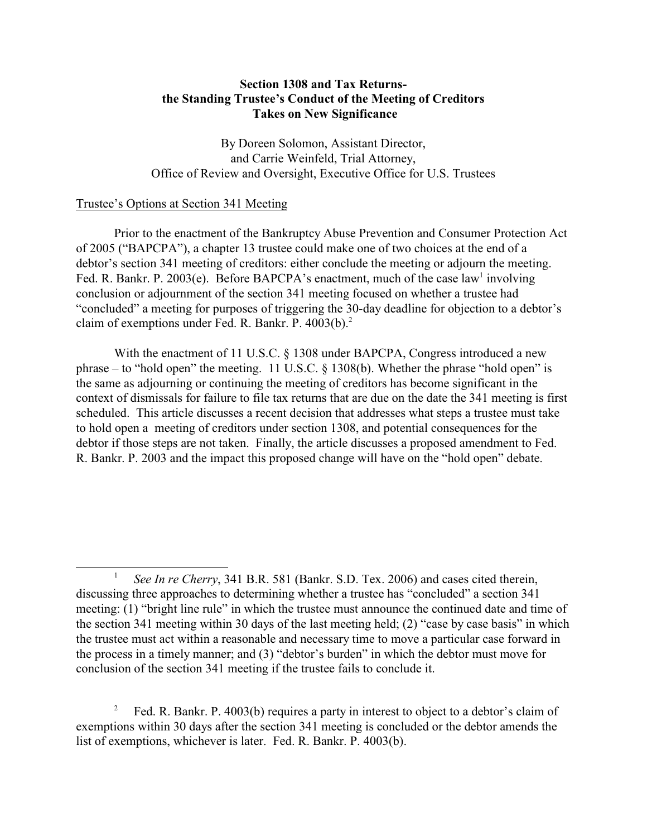# **Section 1308 and Tax Returnsthe Standing Trustee's Conduct of the Meeting of Creditors Takes on New Significance**

By Doreen Solomon, Assistant Director, and Carrie Weinfeld, Trial Attorney, Office of Review and Oversight, Executive Office for U.S. Trustees

## Trustee's Options at Section 341 Meeting

Prior to the enactment of the Bankruptcy Abuse Prevention and Consumer Protection Act of 2005 ("BAPCPA"), a chapter 13 trustee could make one of two choices at the end of a debtor's section 341 meeting of creditors: either conclude the meeting or adjourn the meeting. Fed. R. Bankr. P. 2003(e). Before BAPCPA's enactment, much of the case law involving conclusion or adjournment of the section 341 meeting focused on whether a trustee had "concluded" a meeting for purposes of triggering the 30-day deadline for objection to a debtor's claim of exemptions under Fed. R. Bankr. P. 4003(b).<sup>2</sup>

With the enactment of 11 U.S.C. § 1308 under BAPCPA, Congress introduced a new phrase – to "hold open" the meeting. 11 U.S.C. § 1308(b). Whether the phrase "hold open" is the same as adjourning or continuing the meeting of creditors has become significant in the context of dismissals for failure to file tax returns that are due on the date the 341 meeting is first scheduled. This article discusses a recent decision that addresses what steps a trustee must take to hold open a meeting of creditors under section 1308, and potential consequences for the debtor if those steps are not taken. Finally, the article discusses a proposed amendment to Fed. R. Bankr. P. 2003 and the impact this proposed change will have on the "hold open" debate.

 $\mathbf{1}$ <sup>1</sup>*See In re Cherry*, 341 B.R. 581 (Bankr. S.D. Tex. 2006) and cases cited therein, discussing three approaches to determining whether a trustee has "concluded" a section 341 meeting: (1) "bright line rule" in which the trustee must announce the continued date and time of the section 341 meeting within 30 days of the last meeting held; (2) "case by case basis" in which the trustee must act within a reasonable and necessary time to move a particular case forward in the process in a timely manner; and (3) "debtor's burden" in which the debtor must move for conclusion of the section 341 meeting if the trustee fails to conclude it.

<sup>&</sup>lt;sup>2</sup> Fed. R. Bankr. P. 4003(b) requires a party in interest to object to a debtor's claim of exemptions within 30 days after the section 341 meeting is concluded or the debtor amends the list of exemptions, whichever is later. Fed. R. Bankr. P. 4003(b).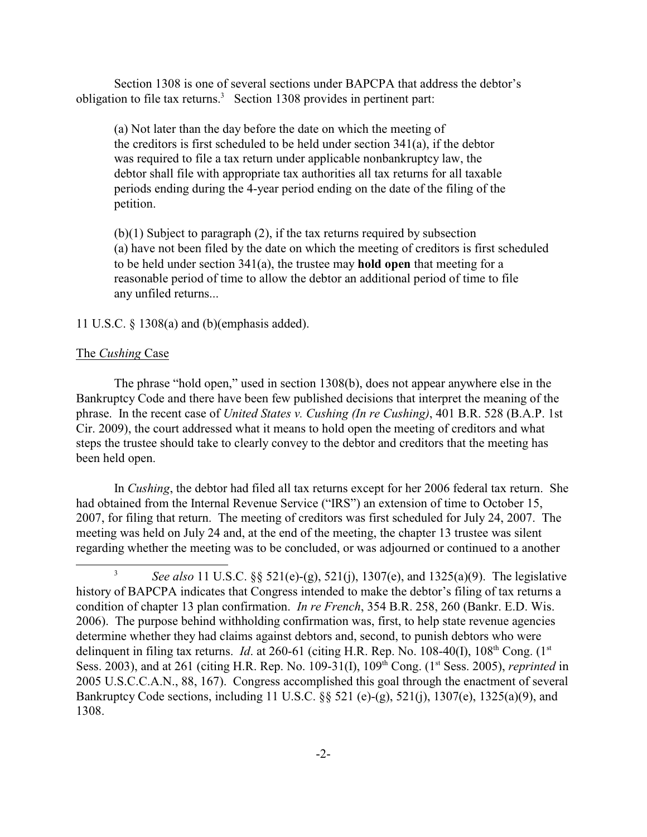Section 1308 is one of several sections under BAPCPA that address the debtor's obligation to file tax returns.<sup>3</sup> Section 1308 provides in pertinent part:

(a) Not later than the day before the date on which the meeting of the creditors is first scheduled to be held under section 341(a), if the debtor was required to file a tax return under applicable nonbankruptcy law, the debtor shall file with appropriate tax authorities all tax returns for all taxable periods ending during the 4-year period ending on the date of the filing of the petition.

(b)(1) Subject to paragraph (2), if the tax returns required by subsection (a) have not been filed by the date on which the meeting of creditors is first scheduled to be held under section 341(a), the trustee may **hold open** that meeting for a reasonable period of time to allow the debtor an additional period of time to file any unfiled returns...

### 11 U.S.C. § 1308(a) and (b)(emphasis added).

#### The *Cushing* Case

The phrase "hold open," used in section 1308(b), does not appear anywhere else in the Bankruptcy Code and there have been few published decisions that interpret the meaning of the phrase. In the recent case of *United States v. Cushing (In re Cushing)*, 401 B.R. 528 (B.A.P. 1st Cir. 2009), the court addressed what it means to hold open the meeting of creditors and what steps the trustee should take to clearly convey to the debtor and creditors that the meeting has been held open.

In *Cushing*, the debtor had filed all tax returns except for her 2006 federal tax return. She had obtained from the Internal Revenue Service ("IRS") an extension of time to October 15, 2007, for filing that return. The meeting of creditors was first scheduled for July 24, 2007. The meeting was held on July 24 and, at the end of the meeting, the chapter 13 trustee was silent regarding whether the meeting was to be concluded, or was adjourned or continued to a another

<sup>&</sup>lt;sup>3</sup> See also 11 U.S.C.  $\&$  521(e)-(g), 521(j), 1307(e), and 1325(a)(9). The legislative history of BAPCPA indicates that Congress intended to make the debtor's filing of tax returns a condition of chapter 13 plan confirmation. *In re French*, 354 B.R. 258, 260 (Bankr. E.D. Wis. 2006). The purpose behind withholding confirmation was, first, to help state revenue agencies determine whether they had claims against debtors and, second, to punish debtors who were delinquent in filing tax returns. *Id.* at 260-61 (citing H.R. Rep. No. 108-40(I), 108<sup>th</sup> Cong. (1<sup>st</sup>) Sess. 2003), and at 261 (citing H.R. Rep. No. 109-31(I), 109<sup>th</sup> Cong. (1<sup>st</sup> Sess. 2005), *reprinted* in 2005 U.S.C.C.A.N., 88, 167). Congress accomplished this goal through the enactment of several Bankruptcy Code sections, including 11 U.S.C. §§ 521 (e)-(g), 521(j), 1307(e), 1325(a)(9), and 1308.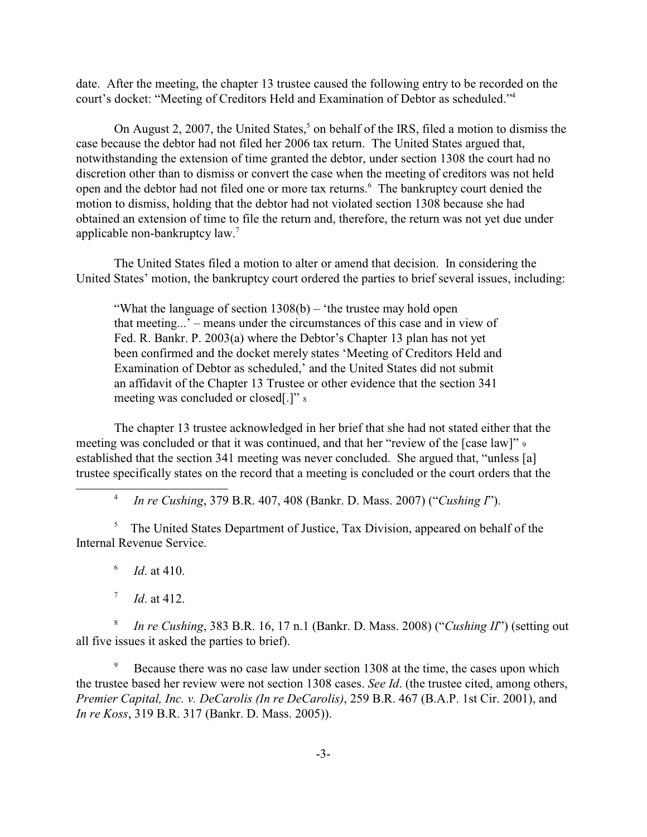court's docket: "Meeting of Creditors Held and Examination of Debtor as scheduled."4 date. After the meeting, the chapter 13 trustee caused the following entry to be recorded on the

On August 2, 2007, the United States,<sup>5</sup> on behalf of the IRS, filed a motion to dismiss the case because the debtor had not filed her 2006 tax return. The United States argued that, notwithstanding the extension of time granted the debtor, under section 1308 the court had no discretion other than to dismiss or convert the case when the meeting of creditors was not held open and the debtor had not filed one or more tax returns.<sup>6</sup> The bankruptcy court denied the motion to dismiss, holding that the debtor had not violated section 1308 because she had obtained an extension of time to file the return and, therefore, the return was not yet due under applicable non-bankruptcy law.7

The United States filed a motion to alter or amend that decision. In considering the United States' motion, the bankruptcy court ordered the parties to brief several issues, including:

"What the language of section  $1308(b)$  – 'the trustee may hold open that meeting...' – means under the circumstances of this case and in view of Fed. R. Bankr. P. 2003(a) where the Debtor's Chapter 13 plan has not yet been confirmed and the docket merely states 'Meeting of Creditors Held and Examination of Debtor as scheduled,' and the United States did not submit an affidavit of the Chapter 13 Trustee or other evidence that the section 341 meeting was concluded or closed[.]" 8

The chapter 13 trustee acknowledged in her brief that she had not stated either that the meeting was concluded or that it was continued, and that her "review of the [case law]" 9 established that the section 341 meeting was never concluded. She argued that, "unless [a] trustee specifically states on the record that a meeting is concluded or the court orders that the

 $\overline{4}$ <sup>4</sup> *In re Cushing*, 379 B.R. 407, 408 (Bankr. D. Mass. 2007) ("*Cushing I*").

<sup>5</sup> The United States Department of Justice, Tax Division, appeared on behalf of the Internal Revenue Service.

6 <sup>6</sup>*Id*. at 410.

 $7\overline{ }$ *Id.* at 412.

 $8\,$ <sup>8</sup>*In re Cushing*, 383 B.R. 16, 17 n.1 (Bankr. D. Mass. 2008) ("*Cushing II*") (setting out all five issues it asked the parties to brief).

<sup>9</sup> Because there was no case law under section 1308 at the time, the cases upon which the trustee based her review were not section 1308 cases. *See Id*. (the trustee cited, among others, *Premier Capital, Inc. v. DeCarolis (In re DeCarolis)*, 259 B.R. 467 (B.A.P. 1st Cir. 2001), and *In re Koss*, 319 B.R. 317 (Bankr. D. Mass. 2005)).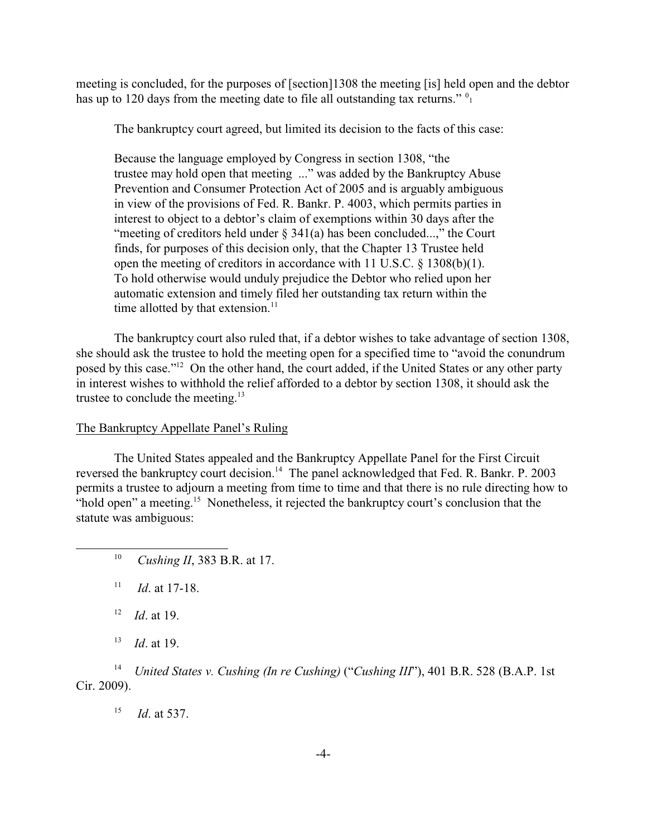has up to 120 days from the meeting date to file all outstanding tax returns."  $0_1$ meeting is concluded, for the purposes of [section]1308 the meeting [is] held open and the debtor

The bankruptcy court agreed, but limited its decision to the facts of this case:

Because the language employed by Congress in section 1308, "the trustee may hold open that meeting ..." was added by the Bankruptcy Abuse Prevention and Consumer Protection Act of 2005 and is arguably ambiguous in view of the provisions of Fed. R. Bankr. P. 4003, which permits parties in interest to object to a debtor's claim of exemptions within 30 days after the "meeting of creditors held under  $\S$  341(a) has been concluded...," the Court finds, for purposes of this decision only, that the Chapter 13 Trustee held open the meeting of creditors in accordance with 11 U.S.C. § 1308(b)(1). To hold otherwise would unduly prejudice the Debtor who relied upon her automatic extension and timely filed her outstanding tax return within the time allotted by that extension.<sup>11</sup>

The bankruptcy court also ruled that, if a debtor wishes to take advantage of section 1308, she should ask the trustee to hold the meeting open for a specified time to "avoid the conundrum posed by this case."12 On the other hand, the court added, if the United States or any other party in interest wishes to withhold the relief afforded to a debtor by section 1308, it should ask the trustee to conclude the meeting. $13$ 

## The Bankruptcy Appellate Panel's Ruling

The United States appealed and the Bankruptcy Appellate Panel for the First Circuit reversed the bankruptcy court decision.<sup>14</sup> The panel acknowledged that Fed. R. Bankr. P. 2003 permits a trustee to adjourn a meeting from time to time and that there is no rule directing how to "hold open" a meeting.<sup>15</sup> Nonetheless, it rejected the bankruptcy court's conclusion that the statute was ambiguous:

 $11\,$ *Id.* at 17-18.

12 *Id.* at 19.

13 *Id.* at 19.

 $14\,$ <sup>14</sup>*United States v. Cushing (In re Cushing)* ("*Cushing III*"), 401 B.R. 528 (B.A.P. 1st Cir. 2009).

15 *Id.* at 537.

 $10\,$ *Cushing II*, 383 B.R. at 17.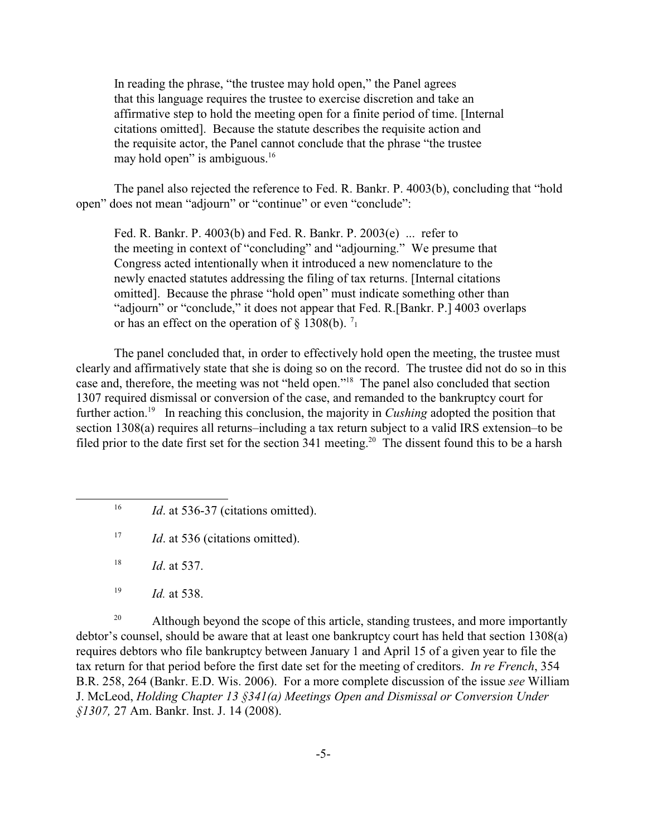In reading the phrase, "the trustee may hold open," the Panel agrees that this language requires the trustee to exercise discretion and take an affirmative step to hold the meeting open for a finite period of time. [Internal citations omitted]. Because the statute describes the requisite action and the requisite actor, the Panel cannot conclude that the phrase "the trustee may hold open" is ambiguous. $16$ 

The panel also rejected the reference to Fed. R. Bankr. P. 4003(b), concluding that "hold open" does not mean "adjourn" or "continue" or even "conclude":

Fed. R. Bankr. P. 4003(b) and Fed. R. Bankr. P. 2003(e) ... refer to the meeting in context of "concluding" and "adjourning." We presume that Congress acted intentionally when it introduced a new nomenclature to the newly enacted statutes addressing the filing of tax returns. [Internal citations omitted]. Because the phrase "hold open" must indicate something other than "adjourn" or "conclude," it does not appear that Fed. R.[Bankr. P.] 4003 overlaps or has an effect on the operation of  $\S 1308(b)$ . <sup>7</sup>

The panel concluded that, in order to effectively hold open the meeting, the trustee must clearly and affirmatively state that she is doing so on the record. The trustee did not do so in this case and, therefore, the meeting was not "held open."18 The panel also concluded that section 1307 required dismissal or conversion of the case, and remanded to the bankruptcy court for further action.<sup>19</sup> In reaching this conclusion, the majority in *Cushing* adopted the position that section 1308(a) requires all returns–including a tax return subject to a valid IRS extension–to be filed prior to the date first set for the section 341 meeting.<sup>20</sup> The dissent found this to be a harsh

<sup>20</sup> Although beyond the scope of this article, standing trustees, and more importantly debtor's counsel, should be aware that at least one bankruptcy court has held that section 1308(a) requires debtors who file bankruptcy between January 1 and April 15 of a given year to file the tax return for that period before the first date set for the meeting of creditors. *In re French*, 354 B.R. 258, 264 (Bankr. E.D. Wis. 2006). For a more complete discussion of the issue *see* William J. McLeod, *Holding Chapter 13 §341(a) Meetings Open and Dismissal or Conversion Under §1307,* 27 Am. Bankr. Inst. J. 14 (2008).

 $16\,$ Id. at 536-37 (citations omitted).

 $17\,$ *Id.* at 536 (citations omitted).

<sup>18</sup>*Id*. at 537.

<sup>19</sup>*Id.* at 538.